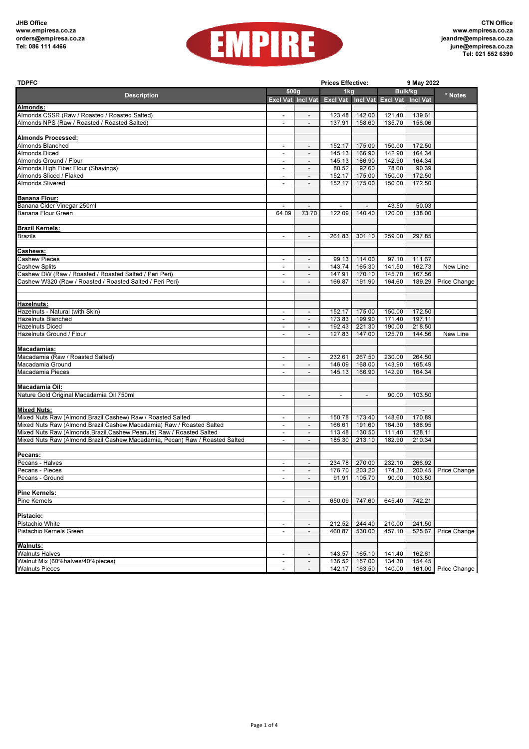

| <b>TDPFC</b>                                                                |                          |                                                      | <b>Prices Effective:</b>            |                          | 9 May 2022     |                          |                     |  |
|-----------------------------------------------------------------------------|--------------------------|------------------------------------------------------|-------------------------------------|--------------------------|----------------|--------------------------|---------------------|--|
|                                                                             | 500g                     |                                                      | 1kg                                 |                          | <b>Bulk/kg</b> |                          |                     |  |
| <b>Description</b>                                                          |                          | Excl Vat Incl Vat                                    | Excl Vat Incl Vat Excl Vat Incl Vat |                          |                |                          | * Notes             |  |
| Almonds:                                                                    |                          |                                                      |                                     |                          |                |                          |                     |  |
| Almonds CSSR (Raw / Roasted / Roasted Salted)                               |                          |                                                      | 123.48                              | 142.00                   | 121.40         | 139.61                   |                     |  |
| Almonds NPS (Raw / Roasted / Roasted Salted)                                | $\overline{\phantom{a}}$ | $\blacksquare$                                       | 137.91                              | 158.60                   | 135.70         | 156.06                   |                     |  |
|                                                                             |                          |                                                      |                                     |                          |                |                          |                     |  |
| <b>Almonds Processed:</b>                                                   |                          |                                                      |                                     |                          |                |                          |                     |  |
| Almonds Blanched                                                            | $\overline{\phantom{a}}$ | $\overline{\phantom{a}}$                             | 152.17                              | 175.00                   | 150.00         | 172.50                   |                     |  |
| Almonds Diced                                                               | $\overline{\phantom{a}}$ | $\overline{\phantom{a}}$                             | 145.13                              | 166.90                   | 142.90         | 164.34                   |                     |  |
| Almonds Ground / Flour                                                      | $\overline{\phantom{a}}$ | $\overline{\phantom{0}}$                             | 145.13                              | 166.90                   | 142.90         | 164.34                   |                     |  |
| Almonds High Fiber Flour (Shavings)                                         | $\overline{\phantom{a}}$ | $\overline{\phantom{a}}$                             | 80.52                               | 92.60                    | 78.60          | 90.39                    |                     |  |
| Almonds Sliced / Flaked                                                     | $\overline{\phantom{a}}$ | $\overline{\phantom{a}}$                             | 152.17                              | 175.00                   | 150.00         | 172.50                   |                     |  |
| Almonds Slivered                                                            | $\blacksquare$           | $\overline{\phantom{a}}$                             | 152.17                              | 175.00                   | 150.00         | 172.50                   |                     |  |
|                                                                             |                          |                                                      |                                     |                          |                |                          |                     |  |
| Banana Flour:                                                               |                          |                                                      |                                     |                          |                |                          |                     |  |
| Banana Cider Vinegar 250ml                                                  |                          |                                                      |                                     |                          | 43.50          | 50.03                    |                     |  |
| Banana Flour Green                                                          | 64.09                    | 73.70                                                | 122.09                              | 140.40                   | 120.00         | 138.00                   |                     |  |
|                                                                             |                          |                                                      |                                     |                          |                |                          |                     |  |
| <b>Brazil Kernels:</b>                                                      |                          |                                                      |                                     |                          |                |                          |                     |  |
| <b>Brazils</b>                                                              | $\overline{\phantom{a}}$ | $\overline{\phantom{a}}$                             | 261.83                              | 301.10                   | 259.00         | 297.85                   |                     |  |
|                                                                             |                          |                                                      |                                     |                          |                |                          |                     |  |
| Cashews:                                                                    |                          |                                                      |                                     |                          |                |                          |                     |  |
| Cashew Pieces                                                               | $\blacksquare$           |                                                      |                                     |                          | 97.10          | 111.67                   |                     |  |
| Cashew Splits                                                               | $\overline{\phantom{a}}$ | $\overline{\phantom{a}}$<br>$\overline{\phantom{a}}$ | 99.13<br>143.74                     | 114.00<br>165.30         | 141.50         | 162.73                   | New Line            |  |
| Cashew DW (Raw / Roasted / Roasted Salted / Peri Peri)                      |                          |                                                      | 147.91                              | 170.10                   | 145.70         | 167.56                   |                     |  |
|                                                                             | $\overline{\phantom{a}}$ | $\overline{\phantom{a}}$<br>$\overline{\phantom{a}}$ | 166.87                              |                          |                | 189.29                   |                     |  |
| Cashew W320 (Raw / Roasted / Roasted Salted / Peri Peri)                    | $\overline{\phantom{a}}$ |                                                      |                                     | 191.90                   | 164.60         |                          | Price Change        |  |
|                                                                             |                          |                                                      |                                     |                          |                |                          |                     |  |
|                                                                             |                          |                                                      |                                     |                          |                |                          |                     |  |
| Hazelnuts:                                                                  |                          |                                                      |                                     |                          |                |                          |                     |  |
| Hazelnuts - Natural (with Skin)                                             | $\overline{\phantom{a}}$ | $\overline{\phantom{a}}$                             | 152.17                              | 175.00                   | 150.00         | 172.50                   |                     |  |
| Hazelnuts Blanched                                                          | $\overline{\phantom{a}}$ | $\overline{\phantom{a}}$                             | 173.83                              | 199.90                   | 171.40         | 197.11                   |                     |  |
| Hazelnuts Diced                                                             | $\overline{\phantom{a}}$ | $\overline{\phantom{a}}$                             | 192.43                              | 221.30                   | 190.00         | 218.50                   |                     |  |
| Hazelnuts Ground / Flour                                                    |                          |                                                      | 127.83                              | 147.00                   | 125.70         | 144.56                   | New Line            |  |
|                                                                             |                          |                                                      |                                     |                          |                |                          |                     |  |
| Macadamias:                                                                 |                          |                                                      |                                     |                          |                |                          |                     |  |
| Macadamia (Raw / Roasted Salted)                                            | $\blacksquare$           | $\overline{\phantom{a}}$                             | 232.61                              | 267.50                   | 230.00         | 264.50                   |                     |  |
| Macadamia Ground                                                            | $\overline{\phantom{a}}$ | $\overline{\phantom{a}}$                             | 146.09                              | 168.00                   | 143.90         | 165.49                   |                     |  |
| Macadamia Pieces                                                            |                          |                                                      | 145.13                              | 166.90                   | 142.90         | 164.34                   |                     |  |
|                                                                             |                          |                                                      |                                     |                          |                |                          |                     |  |
| Macadamia Oil:                                                              |                          |                                                      |                                     |                          |                |                          |                     |  |
| Nature Gold Original Macadamia Oil 750ml                                    | $\overline{\phantom{a}}$ | $\overline{\phantom{a}}$                             | $\overline{\phantom{a}}$            | $\overline{\phantom{m}}$ | 90.00          | 103.50                   |                     |  |
|                                                                             |                          |                                                      |                                     |                          |                |                          |                     |  |
| <b>Mixed Nuts:</b>                                                          |                          |                                                      |                                     |                          |                | $\overline{\phantom{a}}$ |                     |  |
| Mixed Nuts Raw (Almond, Brazil, Cashew) Raw / Roasted Salted                | $\overline{\phantom{a}}$ | $\overline{\phantom{a}}$                             | 150.78                              | 173.40                   | 148.60         | 170.89                   |                     |  |
| Mixed Nuts Raw (Almond, Brazil, Cashew, Macadamia) Raw / Roasted Salted     | $\overline{\phantom{a}}$ | $\overline{\phantom{a}}$                             | 166.61                              | 191.60                   | 164.30         | 188.95                   |                     |  |
| Mixed Nuts Raw (Almonds, Brazil, Cashew, Peanuts) Raw / Roasted Salted      | $\overline{\phantom{a}}$ | $\overline{\phantom{a}}$                             | 113.48                              | 130.50                   | 111.40         | 128.11                   |                     |  |
| Mixed Nuts Raw (Almond,Brazil,Cashew,Macadamia, Pecan) Raw / Roasted Salted | $\overline{\phantom{a}}$ | $\blacksquare$                                       | 185.30                              | 213.10                   | 182.90         | 210.34                   |                     |  |
|                                                                             |                          |                                                      |                                     |                          |                |                          |                     |  |
| Pecans:                                                                     |                          |                                                      |                                     |                          |                |                          |                     |  |
| Pecans - Halves                                                             | $\overline{\phantom{a}}$ | $\overline{\phantom{a}}$                             | 234.78                              | 270.00                   | 232.10         | 266.92                   |                     |  |
| Pecans - Pieces                                                             | $\overline{\phantom{a}}$ | $\overline{\phantom{0}}$                             | 176.70                              | 203.20                   | 174.30         | 200.45                   | Price Change        |  |
| Pecans - Ground                                                             |                          |                                                      |                                     | 91.91 105.70             |                | 90.00 103.50             |                     |  |
|                                                                             |                          |                                                      |                                     |                          |                |                          |                     |  |
| Pine Kernels:                                                               |                          |                                                      |                                     |                          |                |                          |                     |  |
| Pine Kernels                                                                |                          | $\overline{\phantom{a}}$                             | 650.09                              | 747.60                   | 645.40         | 742.21                   |                     |  |
|                                                                             |                          |                                                      |                                     |                          |                |                          |                     |  |
| Pistacio:                                                                   |                          |                                                      |                                     |                          |                |                          |                     |  |
| Pistachio White                                                             |                          |                                                      | 212.52                              | 244.40                   | 210.00         | 241.50                   |                     |  |
| Pistachio Kernels Green                                                     | $\blacksquare$           | $\overline{\phantom{a}}$                             | 460.87                              | 530.00                   | 457.10         |                          | 525.67 Price Change |  |
|                                                                             |                          |                                                      |                                     |                          |                |                          |                     |  |
| <b>Walnuts:</b>                                                             |                          |                                                      |                                     |                          |                |                          |                     |  |
| Walnuts Halves                                                              |                          | $\overline{\phantom{a}}$                             |                                     | 143.57 165.10            | 141.40         | 162.61                   |                     |  |
| Walnut Mix (60%halves/40%pieces)                                            | $\overline{\phantom{a}}$ | $\overline{\phantom{a}}$                             |                                     | 136.52 157.00            | 134.30         | 154.45                   |                     |  |
| <b>Walnuts Pieces</b>                                                       |                          |                                                      |                                     | 142.17 163.50            | 140.00         |                          | 161.00 Price Change |  |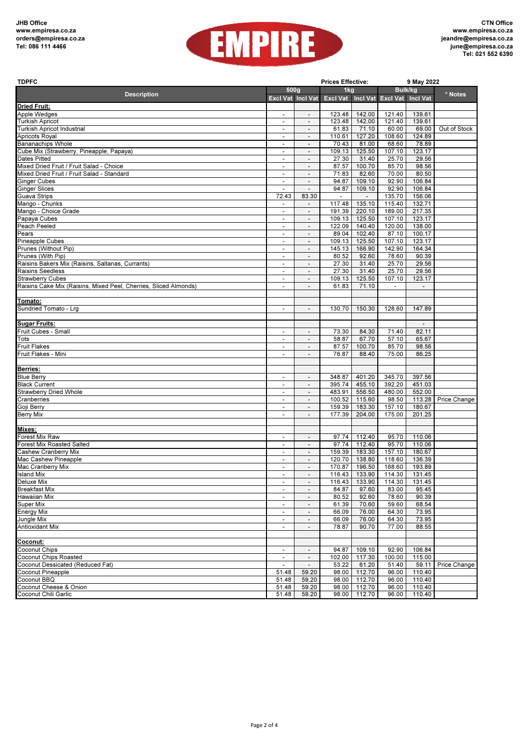

| <b>TDPFC</b>                                                     |                                                      |                                                          | <b>Prices Effective:</b> |                          | 9 May 2022                          |                          |              |  |
|------------------------------------------------------------------|------------------------------------------------------|----------------------------------------------------------|--------------------------|--------------------------|-------------------------------------|--------------------------|--------------|--|
|                                                                  | 500 <sub>g</sub>                                     |                                                          | 1kg                      |                          | Bulk/kg                             |                          | * Notes      |  |
| <b>Description</b>                                               | Excl Vat Incl Vat                                    |                                                          |                          |                          | Excl Vat Incl Vat Excl Vat Incl Vat |                          |              |  |
| <b>Dried Fruit:</b>                                              |                                                      |                                                          |                          |                          |                                     |                          |              |  |
| Apple Wedges                                                     | $\overline{\phantom{a}}$                             | $\overline{\phantom{a}}$                                 | 123.48                   | 142.00                   | 121.40                              | 139.61                   |              |  |
| <b>Turkish Apricot</b>                                           | $\overline{\phantom{a}}$                             | $\overline{\phantom{a}}$                                 | 123.48                   | 142.00                   | 121.40                              | 139.61                   |              |  |
| <b>Turkish Apricot Industrial</b>                                |                                                      | $\overline{\phantom{a}}$                                 | 61.83                    | 71.10                    | 60.00                               | 69.00                    | Out of Stock |  |
| Apricots Royal<br><b>Bananachips Whole</b>                       | $\overline{\phantom{a}}$<br>$\overline{\phantom{a}}$ | $\overline{\phantom{a}}$                                 | 110.61<br>70.43          | 127.20<br>81.00          | 108.60<br>68.60                     | 124.89<br>78.89          |              |  |
| Cube Mix (Strawberry, Pineapple, Papaya)                         | $\overline{\phantom{a}}$                             | $\overline{\phantom{a}}$                                 | 109.13                   | 125.50                   | 107.10                              | 123.17                   |              |  |
| <b>Dates Pitted</b>                                              | $\overline{\phantom{a}}$                             | $\overline{\phantom{a}}$                                 | 27.30                    | 31.40                    | 25.70                               | 29.56                    |              |  |
| Mixed Dried Fruit / Fruit Salad - Choice                         |                                                      | $\overline{\phantom{a}}$                                 | 87.57                    | 100.70                   | 85.70                               | 98.56                    |              |  |
| Mixed Dried Fruit / Fruit Salad - Standard                       | $\blacksquare$                                       | $\overline{\phantom{a}}$                                 | 71.83                    | 82.60                    | 70.00                               | 80.50                    |              |  |
| <b>Ginger Cubes</b>                                              | $\overline{\phantom{a}}$                             | $\overline{\phantom{a}}$                                 | 94.87                    | 109.10                   | 92.90                               | 106.84                   |              |  |
| <b>Ginger Slices</b>                                             | $\overline{\phantom{a}}$                             | $\qquad \qquad \blacksquare$                             | 94.87                    | 109.10                   | 92.90                               | 106.84                   |              |  |
| Guava Strips                                                     | 72.43                                                | 83.30                                                    | $\overline{\phantom{a}}$ | $\overline{\phantom{a}}$ | 135.70                              | 156.06                   |              |  |
| Mango - Chunks                                                   |                                                      |                                                          | 117.48                   | 135.10                   | 115.40                              | 132.71                   |              |  |
| Mango - Choice Grade                                             | $\blacksquare$                                       | $\overline{\phantom{a}}$                                 | 191.39                   | 220.10                   | 189.00                              | 217.35                   |              |  |
| Papaya Cubes                                                     | $\blacksquare$                                       | $\overline{\phantom{a}}$                                 | 109.13                   | 125.50                   | 107.10                              | 123.17                   |              |  |
| Peach Peeled<br>Pears                                            | $\overline{\phantom{a}}$                             | $\overline{\phantom{a}}$                                 | 122.09                   | 140.40                   | 120.00                              | 138.00                   |              |  |
| <b>Pineapple Cubes</b>                                           | $\overline{\phantom{a}}$                             | $\overline{\phantom{a}}$                                 | 89.04<br>109.13          | 102.40<br>125.50         | 87.10<br>107.10                     | 100.17<br>123.17         |              |  |
| Prunes (Without Pip)                                             | $\overline{\phantom{a}}$                             | $\overline{\phantom{a}}$                                 | 145.13                   | 166.90                   | 142.90                              | 164.34                   |              |  |
| Prunes (With Pip)                                                | $\blacksquare$                                       | $\overline{\phantom{a}}$                                 | 80.52                    | 92.60                    | 78.60                               | 90.39                    |              |  |
| Raisins Bakers Mix (Raisins, Saltanas, Currants)                 | $\overline{\phantom{a}}$                             | $\overline{\phantom{a}}$                                 | 27.30                    | 31.40                    | 25.70                               | 29.56                    |              |  |
| <b>Raisins Seedless</b>                                          | $\blacksquare$                                       | $\overline{\phantom{a}}$                                 | 27.30                    | 31.40                    | 25.70                               | 29.56                    |              |  |
| <b>Strawberry Cubes</b>                                          |                                                      | $\overline{\phantom{m}}$                                 | 109.13                   | 125.50                   | 107.10                              | 123.17                   |              |  |
| Raisins Cake Mix (Raisins, Mixed Peel, Cherries, Sliced Almonds) | $\blacksquare$                                       | $\overline{\phantom{a}}$                                 | 61.83                    | 71.10                    |                                     | $\overline{\phantom{a}}$ |              |  |
|                                                                  |                                                      |                                                          |                          |                          |                                     |                          |              |  |
| Tomato:                                                          |                                                      |                                                          |                          |                          |                                     |                          |              |  |
| Sundried Tomato - Lrg                                            | $\overline{\phantom{a}}$                             | $\overline{\phantom{a}}$                                 | 130.70                   | 150.30                   | 128.60                              | 147.89                   |              |  |
|                                                                  |                                                      |                                                          |                          |                          |                                     |                          |              |  |
| <b>Sugar Fruits:</b>                                             |                                                      |                                                          |                          |                          |                                     |                          |              |  |
| Fruit Cubes - Small                                              |                                                      | $\qquad \qquad \blacksquare$                             | 73.30                    | 84.30                    | 71.40                               | 82.11                    |              |  |
| Tots                                                             | $\blacksquare$                                       | $\overline{\phantom{a}}$                                 | 58.87                    | 67.70                    | 57.10                               | 65.67                    |              |  |
| <b>Fruit Flakes</b>                                              | $\overline{\phantom{a}}$                             | $\overline{\phantom{a}}$                                 | 87.57                    | 100.70                   | 85.70                               | 98.56                    |              |  |
| Fruit Flakes - Mini                                              |                                                      | $\overline{\phantom{a}}$                                 | 76.87                    | 88.40                    | 75.00                               | 86.25                    |              |  |
| <b>Berries:</b>                                                  |                                                      |                                                          |                          |                          |                                     |                          |              |  |
| <b>Blue Berry</b>                                                |                                                      | $\overline{\phantom{m}}$                                 | 348.87                   | 401.20                   | 345.70                              | 397.56                   |              |  |
| <b>Black Current</b>                                             | $\overline{\phantom{a}}$                             | $\overline{\phantom{a}}$                                 | 395.74                   | 455.10                   | 392.20                              | 451.03                   |              |  |
| <b>Strawberry Dried Whole</b>                                    | $\overline{\phantom{a}}$                             | $\overline{\phantom{a}}$                                 | 483.91                   | 556.50                   | 480.00                              | 552.00                   |              |  |
| Cranberries                                                      | $\overline{\phantom{a}}$                             | $\overline{\phantom{a}}$                                 | 100.52                   | 115.60                   | 98.50                               | 113.28                   | Price Change |  |
| Goji Berry                                                       | $\overline{\phantom{a}}$                             | $\overline{\phantom{a}}$                                 | 159.39                   | 183.30                   | 157.10                              | 180.67                   |              |  |
| <b>Berry Mix</b>                                                 |                                                      | $\frac{1}{2}$                                            | 177.39                   | 204.00                   | 175.00                              | 201.25                   |              |  |
|                                                                  |                                                      |                                                          |                          |                          |                                     |                          |              |  |
| Mixes:                                                           |                                                      |                                                          |                          |                          |                                     |                          |              |  |
| Forest Mix Raw                                                   | $\overline{\phantom{a}}$                             | $\overline{\phantom{a}}$                                 | 97.74                    | 112.40                   | 95.70                               | 110.06                   |              |  |
| <b>Forest Mix Roasted Salted</b><br>Cashew Cranberry Mix         | $\overline{\phantom{a}}$                             | $\overline{\phantom{a}}$                                 | 97.74                    | 112.40                   | 95.70                               | 110.06<br>180.67         |              |  |
| Mac Cashew Pineapple                                             | $\overline{\phantom{a}}$                             | $\qquad \qquad \blacksquare$<br>$\overline{\phantom{m}}$ | 159.39<br>120.70         | 183.30<br>138.80         | 157.10<br>118.60                    | 136.39                   |              |  |
| Mac Cranberry Mix                                                | $\overline{\phantom{a}}$                             | $\overline{\phantom{a}}$                                 | 170.87                   | 196.50                   | 168.60                              | 193.89                   |              |  |
| <b>Island Mix</b>                                                |                                                      |                                                          |                          | 116 43 133 90            | 114.30                              | 131.45                   |              |  |
| Deluxe Mix                                                       | $\overline{\phantom{a}}$                             | $\overline{\phantom{a}}$                                 | 116.43                   | 133.90                   | 114.30                              | 131.45                   |              |  |
| <b>Breakfast Mix</b>                                             | $\overline{\phantom{a}}$                             | $\qquad \qquad \blacksquare$                             | 84.87                    | 97.60                    | 83.00                               | 95.45                    |              |  |
| <b>Hawaiian Mix</b>                                              |                                                      | $\overline{\phantom{m}}$                                 | 80.52                    | 92.60                    | 78.60                               | 90.39                    |              |  |
| <b>Super Mix</b>                                                 | $\blacksquare$                                       | $\overline{\phantom{a}}$                                 | 61.39                    | 70.60                    | 59.60                               | 68.54                    |              |  |
| Energy Mix                                                       | $\overline{\phantom{a}}$                             | $\overline{\phantom{a}}$                                 | 66.09                    | 76.00                    | 64.30                               | 73.95                    |              |  |
| Jungle Mix                                                       | $\overline{\phantom{a}}$                             | $\overline{\phantom{a}}$                                 | 66.09                    | 76.00                    | 64.30                               | 73.95                    |              |  |
| <b>Antioxidant Mix</b>                                           | $\overline{\phantom{a}}$                             | $\overline{\phantom{a}}$                                 | 78.87                    | 90.70                    | 77.00                               | 88.55                    |              |  |
|                                                                  |                                                      |                                                          |                          |                          |                                     |                          |              |  |
| Coconut:<br>Coconut Chips                                        |                                                      |                                                          |                          |                          |                                     |                          |              |  |
|                                                                  | $\overline{\phantom{a}}$                             | $\overline{\phantom{a}}$                                 | 94.87                    | 109.10                   | 92.90                               | 106.84                   |              |  |
| Coconut Chips Roasted<br>Coconut Dessicated (Reduced Fat)        | $\overline{\phantom{a}}$<br>$\overline{\phantom{a}}$ | $\overline{\phantom{a}}$<br>$\overline{\phantom{a}}$     | 102.00<br>53.22          | 117.30<br>61.20          | 100.00<br>51.40                     | 115.00<br>59.11          | Price Change |  |
| Coconut Pineapple                                                | 51.48                                                | 59.20                                                    | 98.00                    | 112.70                   | 96.00                               | 110.40                   |              |  |
| Coconut BBQ                                                      | 51.48                                                | 59.20                                                    | 98.00                    | 112.70                   | 96.00                               | 110.40                   |              |  |
| Coconut Cheese & Onion                                           | 51.48                                                | 59.20                                                    | 98.00                    | 112.70                   | 96.00                               | 110.40                   |              |  |
| Coconut Chili Garlic                                             | 51.48                                                | 59.20                                                    | 98.00                    | 112.70                   | 96.00                               | 110.40                   |              |  |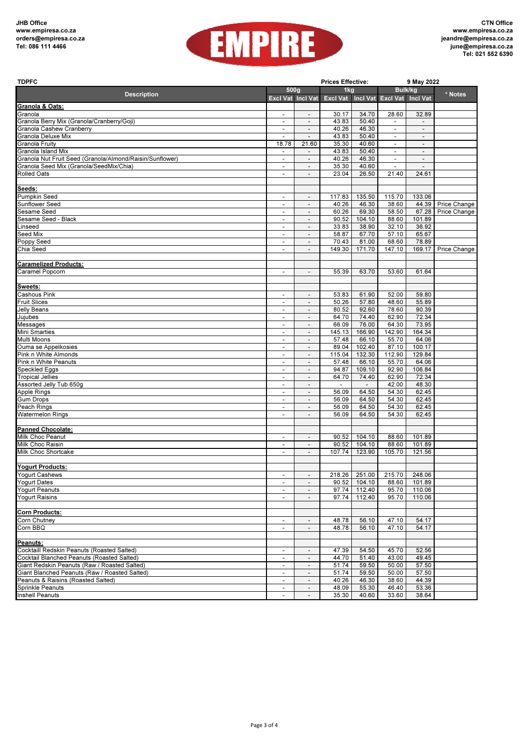

| <b>TDPFC</b>                                                                               | <b>Prices Effective:</b>                             |                                                          |                                                       |                                   | 9 May 2022                                 |                                                      |                    |  |
|--------------------------------------------------------------------------------------------|------------------------------------------------------|----------------------------------------------------------|-------------------------------------------------------|-----------------------------------|--------------------------------------------|------------------------------------------------------|--------------------|--|
|                                                                                            | 500g<br><b>Description</b>                           |                                                          | 1kg                                                   |                                   | <b>Bulk/kg</b>                             |                                                      | * Notes            |  |
|                                                                                            |                                                      |                                                          | Excl Vat Incl Vat Excl Vat Incl Vat Excl Vat Incl Vat |                                   |                                            |                                                      |                    |  |
| Granola & Oats:                                                                            |                                                      |                                                          |                                                       |                                   |                                            |                                                      |                    |  |
| Granola                                                                                    |                                                      | $\overline{\phantom{a}}$                                 | 30.17                                                 | 34.70                             | 28.60                                      | 32.89                                                |                    |  |
| Granola Berry Mix (Granola/Cranberry/Goji)                                                 |                                                      |                                                          | 43.83                                                 | 50.40                             |                                            |                                                      |                    |  |
| Granola Cashew Cranberry<br>Granola Deluxe Mix                                             | $\overline{\phantom{a}}$<br>$\blacksquare$           | $\overline{a}$<br>$\overline{a}$                         | 40.26<br>43.83                                        | 46.30<br>50.40                    | $\blacksquare$<br>$\overline{\phantom{a}}$ | $\overline{\phantom{a}}$<br>$\overline{\phantom{a}}$ |                    |  |
| Granola Fruity                                                                             | 18.78                                                | 21.60                                                    | 35.30                                                 | 40.60                             | $\overline{\phantom{a}}$                   | $\overline{\phantom{a}}$                             |                    |  |
| Granola Island Mix                                                                         | $\overline{\phantom{a}}$                             | $\overline{\phantom{m}}$                                 | 43.83                                                 | 50.40                             | $\overline{\phantom{a}}$                   | $\overline{\phantom{a}}$                             |                    |  |
| Granola Nut Fruit Seed (Granola/Almond/Raisin/Sunflower)                                   | $\blacksquare$                                       | $\overline{\phantom{m}}$                                 | 40.26                                                 | 46.30                             | $\overline{\phantom{a}}$                   | $\overline{\phantom{a}}$                             |                    |  |
| Granola Seed Mix (Granola/SeedMix/Chia)                                                    | $\overline{\phantom{a}}$                             | $\overline{\phantom{a}}$                                 | 35.30                                                 | 40.60                             | $\mathbf{r}$                               | $\blacksquare$                                       |                    |  |
| <b>Rolled Oats</b>                                                                         | $\overline{\phantom{a}}$                             | $\overline{a}$                                           | 23.04                                                 | 26.50                             | 21.40                                      | 24.61                                                |                    |  |
|                                                                                            |                                                      |                                                          |                                                       |                                   |                                            |                                                      |                    |  |
| Seeds:                                                                                     |                                                      |                                                          |                                                       |                                   |                                            |                                                      |                    |  |
| Pumpkin Seed                                                                               | $\overline{\phantom{a}}$                             | $\overline{\phantom{a}}$                                 | 117.83                                                | 135.50                            | 115.70                                     | 133.06                                               |                    |  |
| Sunflower Seed                                                                             | $\overline{\phantom{a}}$<br>$\overline{\phantom{a}}$ | $\overline{a}$                                           | 40.26                                                 | 46.30<br>69.30                    | 38.60<br>58.50                             |                                                      | 44.39 Price Change |  |
| Sesame Seed<br>Sesame Seed - Black                                                         | $\blacksquare$                                       | $\overline{\phantom{a}}$                                 | 60.26<br>90.52                                        | 104.10                            | 88.60                                      | 67.28<br>101.89                                      | Price Change       |  |
| Linseed                                                                                    | $\overline{\phantom{a}}$                             | $\overline{\phantom{a}}$                                 | 33.83                                                 | 38.90                             | 32.10                                      | 36.92                                                |                    |  |
| Seed Mix                                                                                   | $\overline{\phantom{a}}$                             | $\overline{\phantom{a}}$                                 | 58.87                                                 | 67.70                             | 57.10                                      | 65.67                                                |                    |  |
| Poppy Seed                                                                                 | $\blacksquare$                                       | $\overline{a}$                                           | 70.43                                                 | 81.00                             | 68.60                                      | 78.89                                                |                    |  |
| Chia Seed                                                                                  | $\overline{\phantom{a}}$                             | $\overline{a}$                                           | 149.30                                                | 171.70                            | 147.10                                     | 169.17                                               | Price Change       |  |
|                                                                                            |                                                      |                                                          |                                                       |                                   |                                            |                                                      |                    |  |
| <b>Caramelized Products:</b>                                                               |                                                      |                                                          |                                                       |                                   |                                            |                                                      |                    |  |
| Caramel Popcorn                                                                            | $\overline{\phantom{a}}$                             | $\overline{\phantom{a}}$                                 | 55.39                                                 | 63.70                             | 53.60                                      | 61.64                                                |                    |  |
|                                                                                            |                                                      |                                                          |                                                       |                                   |                                            |                                                      |                    |  |
| <b>Sweets:</b>                                                                             |                                                      |                                                          |                                                       |                                   |                                            |                                                      |                    |  |
| Cashous Pink                                                                               | $\overline{\phantom{a}}$                             | $\overline{a}$                                           | 53.83                                                 | 61.90                             | 52.00                                      | 59.80                                                |                    |  |
| <b>Fruit Slices</b><br>Jelly Beans                                                         | $\overline{\phantom{a}}$                             | $\overline{a}$                                           | 50.26<br>80.52                                        | 57.80<br>92.60                    | 48.60<br>78.60                             | 55.89<br>90.39                                       |                    |  |
| Jujubes                                                                                    | $\overline{\phantom{a}}$<br>$\overline{\phantom{a}}$ | $\overline{\phantom{a}}$<br>$\overline{\phantom{a}}$     | 64.70                                                 | 74.40                             | 62.90                                      | 72.34                                                |                    |  |
| Messages                                                                                   | $\overline{\phantom{a}}$                             | $\qquad \qquad \blacksquare$                             | 66.09                                                 | 76.00                             | 64.30                                      | 73.95                                                |                    |  |
| Mini Smarties                                                                              | $\overline{\phantom{a}}$                             | $\overline{a}$                                           | 145.13                                                | 166.90                            | 142.90                                     | 164.34                                               |                    |  |
| Multi Moons                                                                                | $\overline{\phantom{a}}$                             | $\overline{a}$                                           | 57.48                                                 | 66.10                             | 55.70                                      | 64.06                                                |                    |  |
| Ouma se Appelkosies                                                                        | $\overline{\phantom{a}}$                             | $\overline{\phantom{a}}$                                 | 89.04                                                 | 102.40                            | 87.10                                      | 100.17                                               |                    |  |
| Pink n White Almonds                                                                       | $\overline{\phantom{a}}$                             | $\overline{\phantom{a}}$                                 | 115.04                                                | 132.30                            | 112.90                                     | 129.84                                               |                    |  |
| Pink n White Peanuts                                                                       | $\overline{\phantom{a}}$                             | $\qquad \qquad \blacksquare$                             | 57.48                                                 | 66.10                             | 55.70                                      | 64.06                                                |                    |  |
| Speckled Eggs                                                                              | $\overline{\phantom{a}}$                             | $\overline{a}$                                           | 94.87                                                 | 109.10                            | 92.90                                      | 106.84                                               |                    |  |
| <b>Tropical Jellies</b><br>Assorted Jelly Tub 650g                                         | $\overline{\phantom{a}}$<br>$\blacksquare$           | $\overline{a}$                                           | 64.70<br>$\overline{\phantom{a}}$                     | 74.40<br>$\overline{\phantom{a}}$ | 62.90<br>42.00                             | 72.34<br>48.30                                       |                    |  |
| Apple Rings                                                                                | $\overline{\phantom{a}}$                             | $\overline{\phantom{a}}$<br>$\overline{\phantom{a}}$     | 56.09                                                 | 64.50                             | 54.30                                      | 62.45                                                |                    |  |
| Gum Drops                                                                                  | $\overline{\phantom{a}}$                             | $\overline{\phantom{a}}$                                 | 56.09                                                 | 64.50                             | 54.30                                      | 62.45                                                |                    |  |
| Peach Rings                                                                                | $\overline{\phantom{a}}$                             | $\overline{a}$                                           | 56.09                                                 | 64.50                             | 54.30                                      | 62.45                                                |                    |  |
| Watermelon Rings                                                                           | $\overline{\phantom{a}}$                             | $\overline{a}$                                           | 56.09                                                 | 64.50                             | 54.30                                      | 62.45                                                |                    |  |
|                                                                                            |                                                      |                                                          |                                                       |                                   |                                            |                                                      |                    |  |
| <b>Panned Chocolate:</b>                                                                   |                                                      |                                                          |                                                       |                                   |                                            |                                                      |                    |  |
| Milk Choc Peanut                                                                           | $\overline{\phantom{a}}$                             | $\overline{\phantom{a}}$                                 | 90.52                                                 | 104.10                            | 88.60                                      | 101.89                                               |                    |  |
| <b>Milk Choc Raisin</b>                                                                    |                                                      |                                                          | 90.52                                                 | 104.10                            | 88.60                                      | 101.89                                               |                    |  |
| Milk Choc Shortcake                                                                        | $\overline{\phantom{a}}$                             | $\overline{\phantom{a}}$                                 | 107.74                                                | 123.90                            | 105.70                                     | 121.56                                               |                    |  |
|                                                                                            |                                                      |                                                          |                                                       |                                   |                                            |                                                      |                    |  |
| <b>Yogurt Products:</b><br><b>Yogurt Cashews</b>                                           |                                                      |                                                          |                                                       |                                   | 218.26 251.00 215.70 248.06                |                                                      |                    |  |
| Yogurt Dates                                                                               | $\blacksquare$                                       | $\qquad \qquad \blacksquare$                             | 90.52                                                 | 104.10                            | 88.60                                      | 101.89                                               |                    |  |
| Yogurt Peanuts                                                                             |                                                      |                                                          | 97.74                                                 | 112.40                            | 95.70                                      | 110.06                                               |                    |  |
| Yogurt Raisins                                                                             | $\blacksquare$                                       |                                                          | 97.74                                                 | 112.40                            | 95.70                                      | 110.06                                               |                    |  |
|                                                                                            |                                                      |                                                          |                                                       |                                   |                                            |                                                      |                    |  |
| <b>Corn Products:</b>                                                                      |                                                      |                                                          |                                                       |                                   |                                            |                                                      |                    |  |
| Corn Chutney                                                                               | $\overline{\phantom{a}}$                             | $\overline{\phantom{a}}$                                 | 48.78                                                 | 56.10                             | 47.10                                      | 54.17                                                |                    |  |
| Corn BBQ                                                                                   | $\overline{\phantom{a}}$                             | $\overline{\phantom{a}}$                                 | 48.78                                                 | 56.10                             | 47.10                                      | 54.17                                                |                    |  |
|                                                                                            |                                                      |                                                          |                                                       |                                   |                                            |                                                      |                    |  |
| Peanuts:                                                                                   |                                                      |                                                          |                                                       |                                   |                                            |                                                      |                    |  |
| Cocktaill Redskin Peanuts (Roasted Salted)                                                 | $\blacksquare$                                       | $\overline{\phantom{a}}$                                 | 47.39                                                 | 54.50                             | 45.70                                      | 52.56                                                |                    |  |
| Cocktail Blanched Peanuts (Roasted Salted)<br>Giant Redskin Peanuts (Raw / Roasted Salted) |                                                      |                                                          | 44.70                                                 | 51.40                             | 43.00<br>50.00                             | 49.45<br>57.50                                       |                    |  |
| Giant Blanched Peanuts (Raw / Roasted Salted)                                              | $\overline{\phantom{a}}$<br>$\overline{\phantom{a}}$ | $\overline{\phantom{a}}$                                 | 51.74<br>51.74                                        | 59.50<br>59.50                    | 50.00                                      | 57.50                                                |                    |  |
| Peanuts & Raisins (Roasted Salted)                                                         | $\overline{\phantom{a}}$                             | $\overline{\phantom{a}}$<br>$\qquad \qquad \blacksquare$ | 40.26                                                 | 46.30                             | 38.60                                      | 44.39                                                |                    |  |
| Sprinkle Peanuts                                                                           | $\blacksquare$                                       | $\overline{\phantom{a}}$                                 | 48.09                                                 | 55.30                             | 46.40                                      | 53.36                                                |                    |  |
| <b>Inshell Peanuts</b>                                                                     |                                                      |                                                          | 35.30                                                 | 40.60                             | 33.60                                      | 38.64                                                |                    |  |